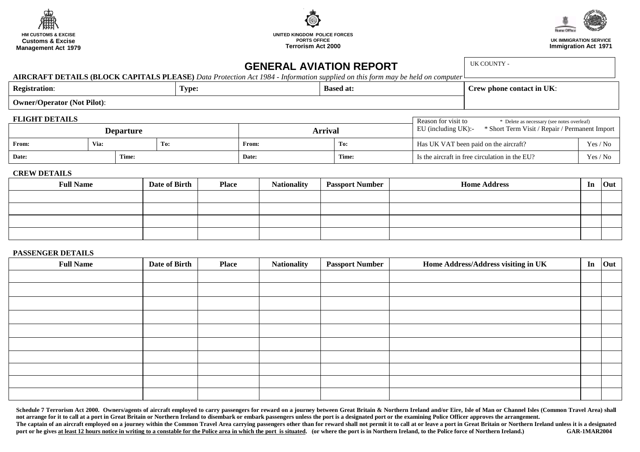





**UK IMMIGRATION SERVICE Immigration Act 1971**

# **GENERAL AVIATION REPORT**

UK COUNTY -

**AIRCRAFT DETAILS (BLOCK CAPITALS PLEASE)** *Data Protection Act 1984 - Information supplied on this form may be held on computer* 

| <b>Registration:</b><br>-                       | <b>Based at:</b><br>Type: |  | $-1$<br>contact in UK:<br>$n$ nona.<br>. |
|-------------------------------------------------|---------------------------|--|------------------------------------------|
| <b>Operator (Not Pilot):</b><br>$\sim$<br>Ownei |                           |  |                                          |

| <b>FLIGHT DETAILS</b> |
|-----------------------|
|-----------------------|

| TLIGHT DETAILS       |  |       |         |                                                |                                                                          | Reason for visit to<br>* Delete as necessary (see notes overleaf) |  |  |  |
|----------------------|--|-------|---------|------------------------------------------------|--------------------------------------------------------------------------|-------------------------------------------------------------------|--|--|--|
| <b>Departure</b>     |  |       | Arrival |                                                | EU (including $UK$ ):-<br>* Short Term Visit / Repair / Permanent Import |                                                                   |  |  |  |
| Via:<br>From:<br>To: |  | From: | To:     | Has UK VAT been paid on the aircraft?          | Yes / No                                                                 |                                                                   |  |  |  |
| Date:<br>Time:       |  | Date: | Time:   | Is the aircraft in free circulation in the EU? | Yes / No                                                                 |                                                                   |  |  |  |

### **CREW DETAILS**

| <b>Full Name</b> | Date of Birth | <b>Place</b> | <b>Nationality</b> | <b>Passport Number</b> | <b>Home Address</b> | In | <b>Out</b> |
|------------------|---------------|--------------|--------------------|------------------------|---------------------|----|------------|
|                  |               |              |                    |                        |                     |    |            |
|                  |               |              |                    |                        |                     |    |            |
|                  |               |              |                    |                        |                     |    |            |
|                  |               |              |                    |                        |                     |    |            |

#### **PASSENGER DETAILS**

| <b>Full Name</b> | Date of Birth | <b>Place</b> | <b>Nationality</b> | <b>Passport Number</b> | Home Address/Address visiting in UK | In | Out |
|------------------|---------------|--------------|--------------------|------------------------|-------------------------------------|----|-----|
|                  |               |              |                    |                        |                                     |    |     |
|                  |               |              |                    |                        |                                     |    |     |
|                  |               |              |                    |                        |                                     |    |     |
|                  |               |              |                    |                        |                                     |    |     |
|                  |               |              |                    |                        |                                     |    |     |
|                  |               |              |                    |                        |                                     |    |     |
|                  |               |              |                    |                        |                                     |    |     |
|                  |               |              |                    |                        |                                     |    |     |
|                  |               |              |                    |                        |                                     |    |     |
|                  |               |              |                    |                        |                                     |    |     |

Schedule 7 Terrorism Act 2000. Owners/agents of aircraft employed to carry passengers for reward on a journey between Great Britain & Northern Ireland and/or Eire, Isle of Man or Channel Isles (Common Travel Area) shall not arrange for it to call at a port in Great Britain or Northern Ireland to disembark or embark passengers unless the port is a designated port or the examining Police Officer approves the arrangement. The captain of an aircraft employed on a journey within the Common Travel Area carrying passengers other than for reward shall not permit it to call at or leave a port in Great Britain or Northern Ireland unless it is a de port or he gives at least 12 hours notice in writing to a constable for the Police area in which the port is situated. (or where the port is in Northern Ireland, to the Police force of Northern Ireland.) **GAR-1MAR2004**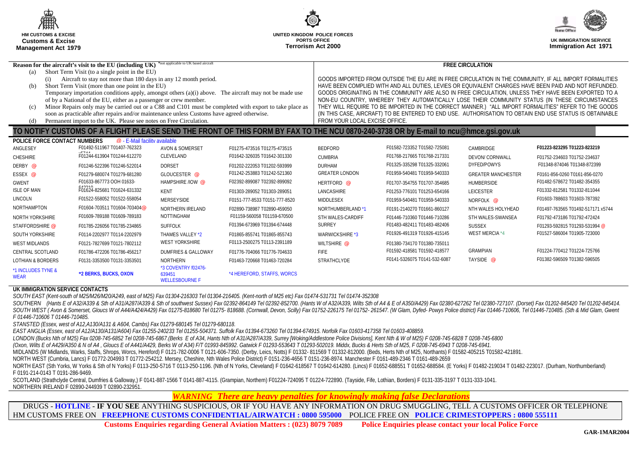| Œ<br><b>HM CUSTOMS &amp; EXCISE</b><br><b>Customs &amp; Excise</b><br><b>Management Act 1979</b>                                                                                                                 |                                                                                                                                                                                                                                                                                                                                                                                      |                                                   | UNITED KINGDOM POLICE FORCES<br><b>Terrorism Act 2000</b>                                 | <b>PORTS OFFICE</b>                                                                                                                                                                                                                                                                                                                                                                                                                                                                                                                                                  |                                                                                           |                                                                                                        | <b>UK IMMIGRATION SERVICE</b><br><b>Immigration Act 1971</b>                                      |
|------------------------------------------------------------------------------------------------------------------------------------------------------------------------------------------------------------------|--------------------------------------------------------------------------------------------------------------------------------------------------------------------------------------------------------------------------------------------------------------------------------------------------------------------------------------------------------------------------------------|---------------------------------------------------|-------------------------------------------------------------------------------------------|----------------------------------------------------------------------------------------------------------------------------------------------------------------------------------------------------------------------------------------------------------------------------------------------------------------------------------------------------------------------------------------------------------------------------------------------------------------------------------------------------------------------------------------------------------------------|-------------------------------------------------------------------------------------------|--------------------------------------------------------------------------------------------------------|---------------------------------------------------------------------------------------------------|
| (a)<br>(i)<br>(b)                                                                                                                                                                                                | Reason for the aircraft's visit to the EU (including UK) *not applicable to UK based aircraft<br>Short Term Visit (to a single point in the EU)<br>Aircraft to stay not more than 180 days in any 12 month period.<br>Short Term Visit (more than one point in the EU)                                                                                                               |                                                   |                                                                                           |                                                                                                                                                                                                                                                                                                                                                                                                                                                                                                                                                                      | <b>FREE CIRCULATION</b>                                                                   | GOODS IMPORTED FROM OUTSIDE THE EU ARE IN FREE CIRCULATION IN THE COMMUNITY, IF ALL IMPORT FORMALITIES |                                                                                                   |
| (c)                                                                                                                                                                                                              | Temporary importation conditions apply, amongst others $(a)(i)$ above. The aircraft may not be made use<br>of by a National of the EU, either as a passenger or crew member.<br>Minor Repairs only may be carried out or a C88 and C101 must be completed with export to take place as<br>soon as practicable after repairs and/or maintenance unless Customs have agreed otherwise. |                                                   |                                                                                           | HAVE BEEN COMPLIED WITH AND ALL DUTIES, LEVIES OR EQUIVALENT CHARGES HAVE BEEN PAID AND NOT REFUNDED.<br>GOODS ORIGINATING IN THE COMMUNITY ARE ALSO IN FREE CIRCULATION, UNLESS THEY HAVE BEEN EXPORTED TO A<br>NON-EU COUNTRY, WHEREBY THEY AUTOMATICALLY LOSE THEIR COMMUNITY STATUS (IN THESE CIRCUMSTANCES<br>THEY WILL REQUIRE TO BE IMPORTED IN THE CORRECT MANNER.) "ALL IMPORT FORMALITIES" REFER TO THE GOODS<br>(IN THIS CASE, AIRCRAFT) TO BE ENTERED TO END USE. AUTHORISATION TO OBTAIN END USE STATUS IS OBTAINABLE<br>FROM YOUR LOCAL EXCISE OFFICE. |                                                                                           |                                                                                                        |                                                                                                   |
| Permanent import to the UK. Please see notes on Free Circulation.<br>(d)<br>TO NOTIFY CUSTOMS OF A FLIGHT PLEASE SEND THE FRONT OF THIS FORM BY FAX TO THE NCU 0870-240-3738 OR by E-mail to ncu@hmce.gsi.gov.uk |                                                                                                                                                                                                                                                                                                                                                                                      |                                                   |                                                                                           |                                                                                                                                                                                                                                                                                                                                                                                                                                                                                                                                                                      |                                                                                           |                                                                                                        |                                                                                                   |
| POLICE FORCE CONTACT NUMBERS<br>ANGLESEY<br><b>CHESHIRE</b>                                                                                                                                                      | @ - E-Mail facility available<br>F01492-511967 T01407-762323<br>F01244-613904 T01244-612270                                                                                                                                                                                                                                                                                          | <b>AVON &amp; SOMERSET</b><br>CLEVELAND           | F01275-473516 T01275-473515<br>F01642-326035 T01642-301330                                | <b>BEDFORD</b><br><b>CUMBRIA</b>                                                                                                                                                                                                                                                                                                                                                                                                                                                                                                                                     | F01582-723352 T01582-725081<br>F01768-217665 T01768-217331                                | CAMBRIDGE<br><b>DEVON/CORNWALL</b>                                                                     | F01223-823295 T01223-823219<br>F01752-234603 T01752-234637                                        |
| DERBY @<br>ESSEX @                                                                                                                                                                                               | F01246-522396 T01246-522014<br>F01279-680074 T01279-681280<br>F01633-867773 OOH 01633-                                                                                                                                                                                                                                                                                               | <b>DORSET</b><br>GLOUCESTER @<br>HAMPSHIRE /IOW @ | F01202-222053 T01202-593999<br>F01242-253883 T01242-521360<br>F02392-899087 T02392-899092 | <b>DURHAM</b><br><b>GREATER LONDON</b>                                                                                                                                                                                                                                                                                                                                                                                                                                                                                                                               | F01325-335298 T01325-332061<br>F01959-540481 T01959-540333                                | DYFED/POWYS<br><b>GREATER MANCHESTER</b>                                                               | F01348-874046 T01348-872399<br>F0161-856-0260 T0161-856-0270<br>F01482-578672 T01482-354355       |
| <b>GWENT</b><br><b>ISLE OF MAN</b><br>LINCOLN                                                                                                                                                                    | F01624-825681 T01624-631332<br>F01522-558052 T01522-558054                                                                                                                                                                                                                                                                                                                           | KENT<br>MERSEYSIDE                                | F01303-289052 T01303-289051<br>F0151-777-8533 T0151-777-8520                              | HERTFORD @<br>LANCASHIRE<br>MIDDLESEX                                                                                                                                                                                                                                                                                                                                                                                                                                                                                                                                | F01707-354755 T01707-354685<br>F01253-776101 T01253-654166<br>F01959-540481 T01959-540333 | <b>HUMBERSIDE</b><br><b>LEICESTER</b><br>NORFOLK @                                                     | F01332-812581 T01332-811044<br>F01603-788603 T01603-787392                                        |
| <b>NORTHAMPTON</b><br>NORTH YORKSHIRE<br>STAFFORDSHIRE @                                                                                                                                                         | F01604-703511 T01604-703404@<br>F01609-789188 T01609-789183<br>F01785-226056 T01785-234865                                                                                                                                                                                                                                                                                           | NORTHERN IRELAND<br>NOTTINGHAM<br><b>SUFFOLK</b>  | F02890-738987 T02890-459050<br>F01159-560058 T01159-670500<br>F01394-673969 T01394-674448 | NORTHUMBERLAND *1<br>STH WALES-CARDIFF<br><b>SURREY</b>                                                                                                                                                                                                                                                                                                                                                                                                                                                                                                              | F0191-2140270 T01661-860127<br>F01446-710360 T01446-710286<br>F01483-482411 T01483-482406 | NTH WALES HOLYHEAD<br>STH WALES-SWANSEA<br><b>SUSSEX</b>                                               | F01497-763565 T01492-517171 x5744<br>F01792-473186 T01792-472424<br>F01293-592815 T01293-531994 @ |
| SOUTH YORKSHIRE<br><b>WEST MIDLANDS</b>                                                                                                                                                                          | F0114-2202977 T0114-2202979<br>F0121-7827699 T0121-7802112                                                                                                                                                                                                                                                                                                                           | THAMES VALLEY *2<br><b>WEST YORKSHIRE</b>         | F01865-855741 T01865-855743<br>F0113-2500275 T0113-2391189                                | <b>WARWICKSHIRE *3</b><br>WILTSHIRE @                                                                                                                                                                                                                                                                                                                                                                                                                                                                                                                                | F01926-491319 T01926-415145<br>F01380-734170 T01380-735011                                | <b>WEST MERCIA *4</b>                                                                                  | F01527-586004 T01905-723000                                                                       |
| CENTRAL SCOTLAND                                                                                                                                                                                                 | F01786-472206 T01786-456217                                                                                                                                                                                                                                                                                                                                                          | <b>DUMFRIES &amp; GALLOWAY</b>                    | F01776-704066 T01776-704633                                                               | <b>FIFE</b>                                                                                                                                                                                                                                                                                                                                                                                                                                                                                                                                                          | F01592-418581 T01592-418577                                                               | <b>GRAMPIAN</b>                                                                                        | F01224-770412 T01224-725766                                                                       |

\*1 INCLUDES TYNE & **WEAR \*2 BERKS, BUCKS, OXON**

\*3 COVENTRY f02476- 639451

 WELLESBOURNE F \*4 HEREFORD, STAFFS, WORCS

## **UK IMMIGRATION SERVICE CONTACTS**

*SOUTH EAST (Kent-south of M25/M26/M20/A249, east of M25) Fax 01304-216303 Tel 01304-216405. (Kent-north of M25 etc) Fax 01474-531731 Tel 01474-352308* 

SOUTHERN (Hants E of A32/A339 & Sth of A31/A287/A339 & Sth of southwest Sussex) Fax 02392-864149 Tel 02392-852700. (Hants W of A32/A339, Wilts Sth of A4 & E of A350/A429) Fax 02380-627262 Tel 02380-727107. (Dorset) Fax 012 SOUTH WEST (Avon & Somerset, Gloucs W of A44/A424/A429) Fax 01275-818680 Tel 01275- 818688. (Cornwall, Devon, Scillv) Fax 01752-226175 Tel 01752-261547. (W Glam, Dyfed-Powys Police district) Fax 01446-710606, Tel 01446-710 *F 01446-710606 T 01446-710485.* 

LOTHIAN & BORDERS F0131-3353500 T0131-3353501 NORTHERN F01463-720668 T01463-720284 STRATHCLYDE F0141-5326075 T0141-532-6087 TAYSIDE @ F01382-596509 T01382-596505

*STANSTED (Essex, west of A12,A130/A131 & A604, Cambs) Fax 01279-680145 Tel 01279-680118.* 

*EAST ANGLIA (Essex, east of A12/A130/A131/A604) Fax 01255-240233 Tel 01255-504371. Suffolk Fax 01394-673260 Tel 01394-674915. Norfolk Fax 01603-417358 Tel 01603-408859.* 

*LONDON (Bucks Nth of M25) Fax 0208-745-6852 Tel 0208-745-6867.(Berks E of A34, Hants Nth of A31/A287/A339, Surrey [Woking/Addlestone Police Divisions], Kent Nth & W of M25) F 0208-745-6828 T 0208-745-6800* 

*(Oxon, Wilts E of A429/A350 & N of A4 , Gloucs E of A441/A429, Berks W of A34) F/T 01993-845992. Gatwick F 01293-553643 T 01293-502019. Middx, Bucks & Herts Sth of M25, F 0208-745-6943 T 0208-745-6941.* 

MIDLANDS (W Midlands, Warks, Staffs, Shrops, Worcs, Hereford) F 0121-782-0006 T 0121-606-7350. (Derby, Leics, Notts) F 01332- 811569 T 01332-812000. (Beds, Herts Nth of M25, Northants) F 01582-405215 T01582-421891.

NORTH WEST (Cumbria, Lancs) F 01772-204993 T 01772-254212. Mersey, Cheshire, Nth Wales Police District) F 0151-236-4656 T 0151-236-8974. Manchester F 0161-489-2346 T 0161-489-2659

NORTH EAST (Sth Yorks. W Yorks & Sth of N Yorks) F 0113-250-5716 T 0113-250-1196. (Nth of N Yorks, Cleveland) F 01642-618567 T 01642-614280. (Lincs) F 01652-688551 T 01652-688584. (E Yorks) F 01482-219034 T 01482-223017. ( F 0191-214-0143 T 0191-286-9469.

SCOTLAND (Strathclyde Central, Dumfries & Galloway,) F 0141-887-1566 T 0141-887-4115. (Grampian, Northern) F01224-724095 T 01224-722890. (Tayside, Fife, Lothian, Borders) F 0131-335-3197 T 0131-333-1041. NORTHERN IRELAND F 02890-244939 T 02890-232951.

> *WARNINGThere are heavy penalties for knowingly making false Declarations*

DRUGS - **HOTLINE - IF YOU SEE** ANYTHING SUSPICIOUS, OR IF YOU HAVE ANY INFORMATION ON DRUG SMUGGLING, TELL A CUSTOMS OFFICER OR TELEPHONE HM CUSTOMS FREE ON **FREEPHONE CUSTOMS CONFIDENTIAL/AIRWATCH : 0800 595000** POLICE FREE ON **POLICE CRIMESTOPPERS : 0800 555111** 

**Customs Enquiries regarding General Aviation Matters : (023) 8079 7089 Police Enquiries please contact your local Police Force**